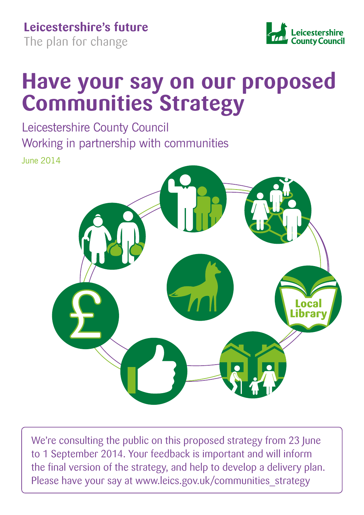**Leicestershire's future** 

The plan for change



# **Have your say on our proposed Communities Strategy**

Leicestershire County Council Working in partnership with communities June 2014



We're consulting the public on this proposed strategy from 23 June to 1 September 2014. Your feedback is important and will inform the final version of the strategy, and help to develop a delivery plan. Please have your say at www.leics.gov.uk/communities strategy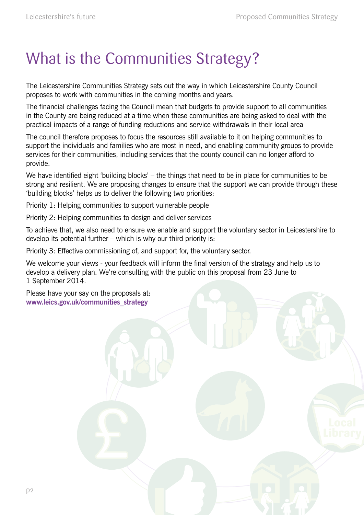# What is the Communities Strategy?

The Leicestershire Communities Strategy sets out the way in which Leicestershire County Council proposes to work with communities in the coming months and years.

The financial challenges facing the Council mean that budgets to provide support to all communities in the County are being reduced at a time when these communities are being asked to deal with the practical impacts of a range of funding reductions and service withdrawals in their local area

The council therefore proposes to focus the resources still available to it on helping communities to support the individuals and families who are most in need, and enabling community groups to provide services for their communities, including services that the county council can no longer afford to provide.

We have identified eight 'building blocks' – the things that need to be in place for communities to be strong and resilient. We are proposing changes to ensure that the support we can provide through these 'building blocks' helps us to deliver the following two priorities:

Priority 1: Helping communities to support vulnerable people

Priority 2: Helping communities to design and deliver services

To achieve that, we also need to ensure we enable and support the voluntary sector in Leicestershire to develop its potential further – which is why our third priority is:

Priority 3: Effective commissioning of, and support for, the voluntary sector.

We welcome your views - your feedback will inform the final version of the strategy and help us to develop a delivery plan. We're consulting with the public on this proposal from 23 June to 1 September 2014.

Please have your say on the proposals at: **www.leics.gov.uk/communities\_strategy**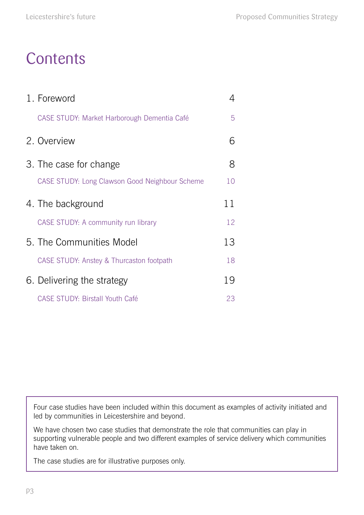## **Contents**

| 1. Foreword                                    |    |
|------------------------------------------------|----|
| CASE STUDY: Market Harborough Dementia Café    | 5  |
| 2. Overview                                    | 6  |
| 3. The case for change                         | 8  |
| CASE STUDY: Long Clawson Good Neighbour Scheme | 10 |
| 4. The background                              | 11 |
| CASE STUDY: A community run library            | 12 |
| 5. The Communities Model                       | 13 |
| CASE STUDY: Anstey & Thurcaston footpath       | 18 |
| 6. Delivering the strategy                     | 19 |
| <b>CASE STUDY: Birstall Youth Café</b>         | 23 |

Four case studies have been included within this document as examples of activity initiated and led by communities in Leicestershire and beyond.

We have chosen two case studies that demonstrate the role that communities can play in supporting vulnerable people and two different examples of service delivery which communities have taken on.

The case studies are for illustrative purposes only.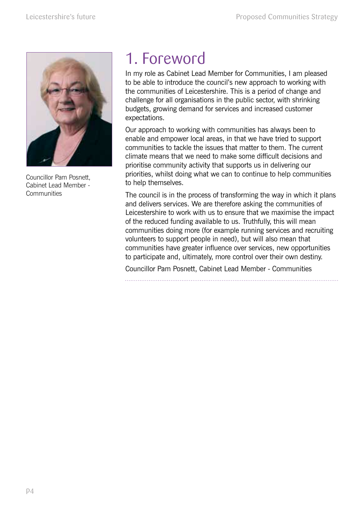

Councillor Pam Posnett, Cabinet Lead Member - **Communities** 

## 1. Foreword

In my role as Cabinet Lead Member for Communities, I am pleased to be able to introduce the council's new approach to working with the communities of Leicestershire. This is a period of change and challenge for all organisations in the public sector, with shrinking budgets, growing demand for services and increased customer expectations.

Our approach to working with communities has always been to enable and empower local areas, in that we have tried to support communities to tackle the issues that matter to them. The current climate means that we need to make some difficult decisions and prioritise community activity that supports us in delivering our priorities, whilst doing what we can to continue to help communities to help themselves.

The council is in the process of transforming the way in which it plans and delivers services. We are therefore asking the communities of Leicestershire to work with us to ensure that we maximise the impact of the reduced funding available to us. Truthfully, this will mean communities doing more (for example running services and recruiting volunteers to support people in need), but will also mean that communities have greater influence over services, new opportunities to participate and, ultimately, more control over their own destiny.

Councillor Pam Posnett, Cabinet Lead Member - Communities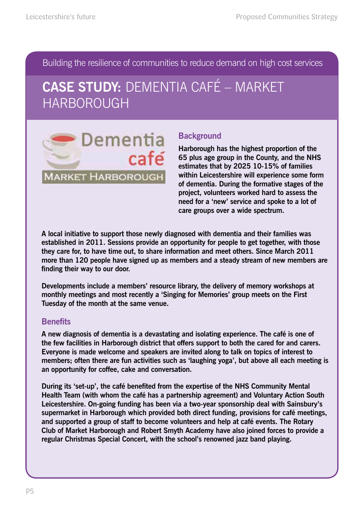Building the resilience of communities to reduce demand on high cost services

## **CASE STUDY:** DEMENTIA CAFé – MARKET HARBOROUGH



### **Background**

**Harborough has the highest proportion of the 65 plus age group in the County, and the NHS estimates that by 2025 10-15% of families within Leicestershire will experience some form of dementia. During the formative stages of the project, volunteers worked hard to assess the need for a 'new' service and spoke to a lot of care groups over a wide spectrum.**

**A local initiative to support those newly diagnosed with dementia and their families was established in 2011. Sessions provide an opportunity for people to get together, with those they care for, to have time out, to share information and meet others. Since March 2011 more than 120 people have signed up as members and a steady stream of new members are**  finding their way to our door.

**Developments include a members' resource library, the delivery of memory workshops at monthly meetings and most recently a 'Singing for Memories' group meets on the First Tuesday of the month at the same venue.** 

### **Benefits**

**A new diagnosis of dementia is a devastating and isolating experience. The café is one of the few facilities in Harborough district that offers support to both the cared for and carers. Everyone is made welcome and speakers are invited along to talk on topics of interest to members; often there are fun activities such as 'laughing yoga', but above all each meeting is an opportunity for coffee, cake and conversation.** 

During its 'set-up', the café benefited from the expertise of the NHS Community Mental **Health Team (with whom the café has a partnership agreement) and Voluntary Action South Leicestershire. On-going funding has been via a two-year sponsorship deal with Sainsbury's supermarket in Harborough which provided both direct funding, provisions for café meetings, and supported a group of staff to become volunteers and help at café events. The Rotary Club of Market Harborough and Robert Smyth Academy have also joined forces to provide a regular Christmas Special Concert, with the school's renowned jazz band playing.**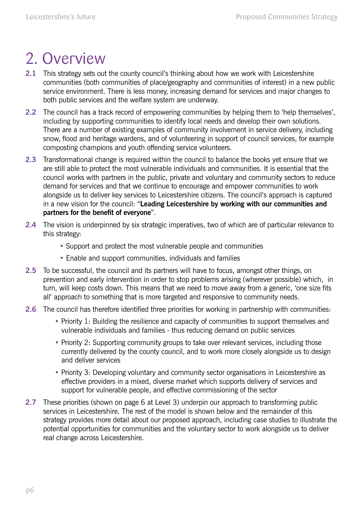## 2. Overview

- **2.1** This strategy sets out the county council's thinking about how we work with Leicestershire communities (both communities of place/geography and communities of interest) in a new public service environment. There is less money, increasing demand for services and major changes to both public services and the welfare system are underway.
- **2.2** The council has a track record of empowering communities by helping them to 'help themselves', including by supporting communities to identify local needs and develop their own solutions. There are a number of existing examples of community involvement in service delivery, including snow, flood and heritage wardens, and of volunteering in support of council services, for example composting champions and youth offending service volunteers.
- **2.3** Transformational change is required within the council to balance the books yet ensure that we are still able to protect the most vulnerable individuals and communities. It is essential that the council works with partners in the public, private and voluntary and community sectors to reduce demand for services and that we continue to encourage and empower communities to work alongside us to deliver key services to Leicestershire citizens. The council's approach is captured in a new vision for the council: "**Leading Leicestershire by working with our communities and partners for the benefit of everyone**".
- **2.4** The vision is underpinned by six strategic imperatives, two of which are of particular relevance to this strategy:
	- Support and protect the most vulnerable people and communities
	- Enable and support communities, individuals and families
- **2.5** To be successful, the council and its partners will have to focus, amongst other things, on prevention and early intervention in order to stop problems arising (wherever possible) which, in turn, will keep costs down. This means that we need to move away from a generic, 'one size fits all' approach to something that is more targeted and responsive to community needs.
- **2.6** The council has therefore identified three priorities for working in partnership with communities:
	- Priority 1: Building the resilience and capacity of communities to support themselves and vulnerable individuals and families - thus reducing demand on public services
	- Priority 2: Supporting community groups to take over relevant services, including those currently delivered by the county council, and to work more closely alongside us to design and deliver services
	- Priority 3: Developing voluntary and community sector organisations in Leicestershire as effective providers in a mixed, diverse market which supports delivery of services and support for vulnerable people, and effective commissioning of the sector
- **2.7** These priorities (shown on page 6 at Level 3) underpin our approach to transforming public services in Leicestershire. The rest of the model is shown below and the remainder of this strategy provides more detail about our proposed approach, including case studies to illustrate the potential opportunities for communities and the voluntary sector to work alongside us to deliver real change across Leicestershire.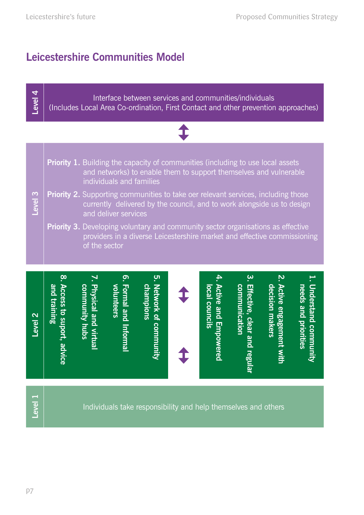**Level 4**

## **Leicestershire Communities Model**

## Interface between services and communities/individuals (Includes Local Area Co-ordination, First Contact and other prevention approaches)

**Priority 1.** Building the capacity of communities (including to use local assets and networks) to enable them to support themselves and vulnerable individuals and families

#### **Level 3 Priority 2.** Supporting communities to take oer relevant services, including those currently delivered by the council, and to work alongside us to design and deliver services

**Priority 3.** Developing voluntary and community sector organisations as effective providers in a diverse Leicestershire market and effective commissioning of the sector

| 3. Effective, clear and regular<br>communication<br>5. Network of community<br>2. Active engagement with<br>1. Understand community<br>Access to suport, advice<br><b>Active and Empowered</b><br>volunteers<br>community hubs<br>champions<br>needs and priorities<br><u>and training</u><br>decision makers<br><b>Physical and virtual</b><br><b>Formal and</b><br>local councils<br>Level <sub>2</sub><br><b>Informal</b> |
|------------------------------------------------------------------------------------------------------------------------------------------------------------------------------------------------------------------------------------------------------------------------------------------------------------------------------------------------------------------------------------------------------------------------------|
|------------------------------------------------------------------------------------------------------------------------------------------------------------------------------------------------------------------------------------------------------------------------------------------------------------------------------------------------------------------------------------------------------------------------------|

**Level 1**

Individuals take responsibility and help themselves and others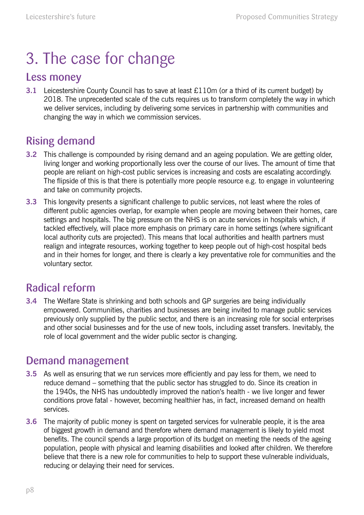# 3. The case for change

## Less money

**3.1** Leicestershire County Council has to save at least £110m (or a third of its current budget) by 2018. The unprecedented scale of the cuts requires us to transform completely the way in which we deliver services, including by delivering some services in partnership with communities and changing the way in which we commission services.

## Rising demand

- **3.2** This challenge is compounded by rising demand and an ageing population. We are getting older, living longer and working proportionally less over the course of our lives. The amount of time that people are reliant on high-cost public services is increasing and costs are escalating accordingly. The flipside of this is that there is potentially more people resource e.g. to engage in volunteering and take on community projects.
- **3.3** This longevity presents a significant challenge to public services, not least where the roles of different public agencies overlap, for example when people are moving between their homes, care settings and hospitals. The big pressure on the NHS is on acute services in hospitals which, if tackled effectively, will place more emphasis on primary care in home settings (where significant local authority cuts are projected). This means that local authorities and health partners must realign and integrate resources, working together to keep people out of high-cost hospital beds and in their homes for longer, and there is clearly a key preventative role for communities and the voluntary sector.

## Radical reform

**3.4** The Welfare State is shrinking and both schools and GP surgeries are being individually empowered. Communities, charities and businesses are being invited to manage public services previously only supplied by the public sector, and there is an increasing role for social enterprises and other social businesses and for the use of new tools, including asset transfers. Inevitably, the role of local government and the wider public sector is changing.

## Demand management

- **3.5** As well as ensuring that we run services more efficiently and pay less for them, we need to reduce demand – something that the public sector has struggled to do. Since its creation in the 1940s, the NHS has undoubtedly improved the nation's health - we live longer and fewer conditions prove fatal - however, becoming healthier has, in fact, increased demand on health services.
- **3.6** The majority of public money is spent on targeted services for vulnerable people, it is the area of biggest growth in demand and therefore where demand management is likely to yield most benefits. The council spends a large proportion of its budget on meeting the needs of the ageing population, people with physical and learning disabilities and looked after children. We therefore believe that there is a new role for communities to help to support these vulnerable individuals, reducing or delaying their need for services.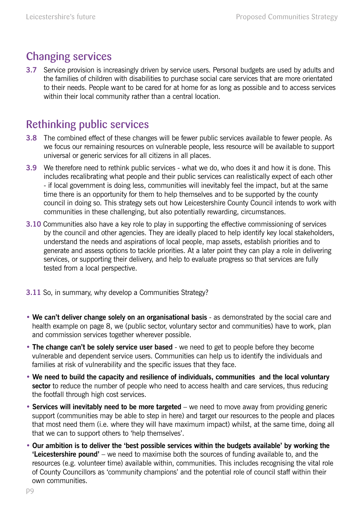## Changing services

**3.7** Service provision is increasingly driven by service users. Personal budgets are used by adults and the families of children with disabilities to purchase social care services that are more orientated to their needs. People want to be cared for at home for as long as possible and to access services within their local community rather than a central location.

## Rethinking public services

- **3.8** The combined effect of these changes will be fewer public services available to fewer people. As we focus our remaining resources on vulnerable people, less resource will be available to support universal or generic services for all citizens in all places.
- **3.9** We therefore need to rethink public services what we do, who does it and how it is done. This includes recalibrating what people and their public services can realistically expect of each other - if local government is doing less, communities will inevitably feel the impact, but at the same time there is an opportunity for them to help themselves and to be supported by the county council in doing so. This strategy sets out how Leicestershire County Council intends to work with communities in these challenging, but also potentially rewarding, circumstances.
- **3.10** Communities also have a key role to play in supporting the effective commissioning of services by the council and other agencies. They are ideally placed to help identify key local stakeholders, understand the needs and aspirations of local people, map assets, establish priorities and to generate and assess options to tackle priorities. At a later point they can play a role in delivering services, or supporting their delivery, and help to evaluate progress so that services are fully tested from a local perspective.
- **3.11** So, in summary, why develop a Communities Strategy?
- **We can't deliver change solely on an organisational basis** as demonstrated by the social care and health example on page 8, we (public sector, voluntary sector and communities) have to work, plan and commission services together wherever possible.
- The change can't be solely service user based we need to get to people before they become vulnerable and dependent service users. Communities can help us to identify the individuals and families at risk of vulnerability and the specific issues that they face.
- **We need to build the capacity and resilience of individuals, communities and the local voluntary sector** to reduce the number of people who need to access health and care services, thus reducing the footfall through high cost services.
- **Services will inevitably need to be more targeted** we need to move away from providing generic support (communities may be able to step in here) and target our resources to the people and places that most need them (i.e. where they will have maximum impact) whilst, at the same time, doing all that we can to support others to 'help themselves'.
- **Our ambition is to deliver the 'best possible services within the budgets available' by working the 'Leicestershire pound'** – we need to maximise both the sources of funding available to, and the resources (e.g. volunteer time) available within, communities. This includes recognising the vital role of County Councillors as 'community champions' and the potential role of council staff within their own communities.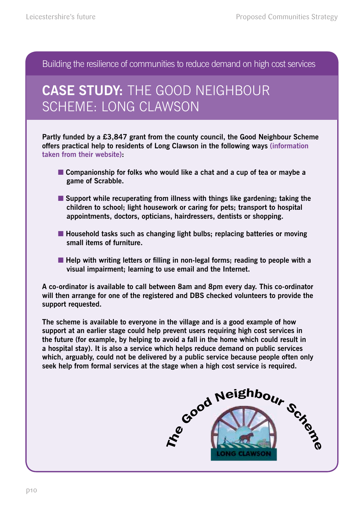Building the resilience of communities to reduce demand on high cost services

## **CASE STUDY:** THE GOOD NEIGHBOUR SCHEME: LONG CLAWSON

**Partly funded by a £3,847 grant from the county council, the Good Neighbour Scheme offers practical help to residents of Long Clawson in the following ways (information taken from their website):**

- **Companionship for folks who would like a chat and a cup of tea or maybe a game of Scrabble.**
- Support while recuperating from illness with things like gardening; taking the **children to school; light housework or caring for pets; transport to hospital appointments, doctors, opticians, hairdressers, dentists or shopping.**
- Household tasks such as changing light bulbs; replacing batteries or moving **small items of furniture.**
- Help with writing letters or filling in non-legal forms; reading to people with a **visual impairment; learning to use email and the Internet.**

**A co-ordinator is available to call between 8am and 8pm every day. This co-ordinator will then arrange for one of the registered and DBS checked volunteers to provide the support requested.** 

**The scheme is available to everyone in the village and is a good example of how support at an earlier stage could help prevent users requiring high cost services in the future (for example, by helping to avoid a fall in the home which could result in a hospital stay). It is also a service which helps reduce demand on public services which, arguably, could not be delivered by a public service because people often only seek help from formal services at the stage when a high cost service is required.**

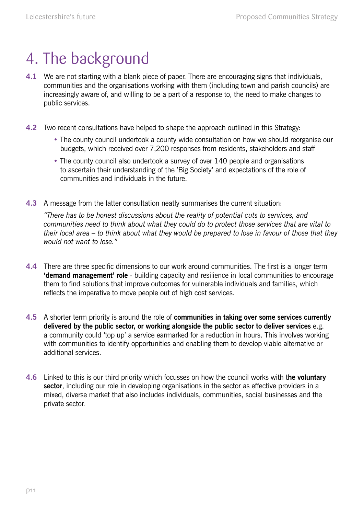## 4. The background

- **4.1** We are not starting with a blank piece of paper. There are encouraging signs that individuals, communities and the organisations working with them (including town and parish councils) are increasingly aware of, and willing to be a part of a response to, the need to make changes to public services.
- **4.2** Two recent consultations have helped to shape the approach outlined in this Strategy:
	- The county council undertook a county wide consultation on how we should reorganise our budgets, which received over 7,200 responses from residents, stakeholders and staff
	- The county council also undertook a survey of over 140 people and organisations to ascertain their understanding of the 'Big Society' and expectations of the role of communities and individuals in the future.
- **4.3** A message from the latter consultation neatly summarises the current situation:

*"There has to be honest discussions about the reality of potential cuts to services, and communities need to think about what they could do to protect those services that are vital to their local area – to think about what they would be prepared to lose in favour of those that they would not want to lose."* 

- **4.4** There are three specific dimensions to our work around communities. The first is a longer term **'demand management' role** - building capacity and resilience in local communities to encourage them to find solutions that improve outcomes for vulnerable individuals and families, which reflects the imperative to move people out of high cost services.
- **4.5** A shorter term priority is around the role of **communities in taking over some services currently delivered by the public sector, or working alongside the public sector to deliver services** e.g. a community could 'top up' a service earmarked for a reduction in hours. This involves working with communities to identify opportunities and enabling them to develop viable alternative or additional services.
- **4.6** Linked to this is our third priority which focusses on how the council works with t**he voluntary sector**, including our role in developing organisations in the sector as effective providers in a mixed, diverse market that also includes individuals, communities, social businesses and the private sector.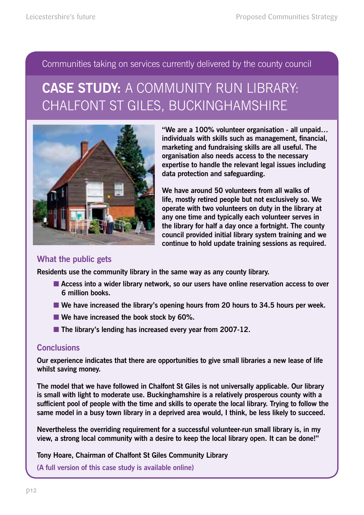Communities taking on services currently delivered by the county council

## **CASE STUDY:** A COMMUNITY RUN LIBRARY: CHALFONT ST GILES, BUCKINGHAMSHIRE



**"We are a 100% volunteer organisation - all unpaid… individuals with skills such as management, financial, marketing and fundraising skills are all useful. The organisation also needs access to the necessary expertise to handle the relevant legal issues including data protection and safeguarding.** 

**We have around 50 volunteers from all walks of life, mostly retired people but not exclusively so. We operate with two volunteers on duty in the library at any one time and typically each volunteer serves in the library for half a day once a fortnight. The county council provided initial library system training and we continue to hold update training sessions as required.**

#### **What the public gets**

**Residents use the community library in the same way as any county library.** 

- Access into a wider library network, so our users have online reservation access to over **6 million books.**
- We have increased the library's opening hours from 20 hours to 34.5 hours per week.
- We have increased the book stock by 60%.
- The library's lending has increased every year from 2007-12.

#### **Conclusions**

**Our experience indicates that there are opportunities to give small libraries a new lease of life whilst saving money.** 

**The model that we have followed in Chalfont St Giles is not universally applicable. Our library is small with light to moderate use. Buckinghamshire is a relatively prosperous county with a sufficient pool of people with the time and skills to operate the local library. Trying to follow the same model in a busy town library in a deprived area would, I think, be less likely to succeed.** 

**Nevertheless the overriding requirement for a successful volunteer-run small library is, in my view, a strong local community with a desire to keep the local library open. It can be done!"** 

**Tony Hoare, Chairman of Chalfont St Giles Community Library**

**(A full version of this case study is available online)**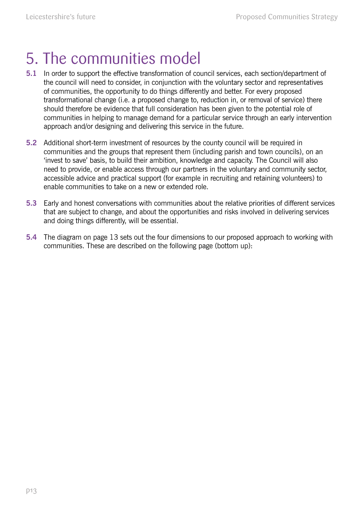# 5. The communities model

- **5.1** In order to support the effective transformation of council services, each section/department of the council will need to consider, in conjunction with the voluntary sector and representatives of communities, the opportunity to do things differently and better. For every proposed transformational change (i.e. a proposed change to, reduction in, or removal of service) there should therefore be evidence that full consideration has been given to the potential role of communities in helping to manage demand for a particular service through an early intervention approach and/or designing and delivering this service in the future.
- **5.2** Additional short-term investment of resources by the county council will be required in communities and the groups that represent them (including parish and town councils), on an 'invest to save' basis, to build their ambition, knowledge and capacity. The Council will also need to provide, or enable access through our partners in the voluntary and community sector, accessible advice and practical support (for example in recruiting and retaining volunteers) to enable communities to take on a new or extended role.
- **5.3** Early and honest conversations with communities about the relative priorities of different services that are subject to change, and about the opportunities and risks involved in delivering services and doing things differently, will be essential.
- **5.4** The diagram on page 13 sets out the four dimensions to our proposed approach to working with communities. These are described on the following page (bottom up):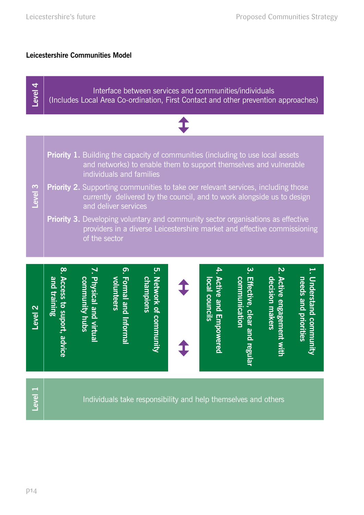### **Leicestershire Communities Model**

| Level 4            | Interface between services and communities/individuals<br>(Includes Local Area Co-ordination, First Contact and other prevention approaches)                                                                                                                                                                                                                                          |                                              |                                        |                                                                |  |                             |                                                   |                                                 |                          |
|--------------------|---------------------------------------------------------------------------------------------------------------------------------------------------------------------------------------------------------------------------------------------------------------------------------------------------------------------------------------------------------------------------------------|----------------------------------------------|----------------------------------------|----------------------------------------------------------------|--|-----------------------------|---------------------------------------------------|-------------------------------------------------|--------------------------|
|                    |                                                                                                                                                                                                                                                                                                                                                                                       |                                              |                                        |                                                                |  |                             |                                                   |                                                 |                          |
|                    | <b>Priority 1.</b> Building the capacity of communities (including to use local assets<br>and networks) to enable them to support themselves and vulnerable<br>individuals and families<br><b>Priority 2.</b> Supporting communities to take oer relevant services, including those<br>currently delivered by the council, and to work alongside us to design<br>and deliver services |                                              |                                        |                                                                |  |                             |                                                   |                                                 |                          |
| Level <sub>3</sub> |                                                                                                                                                                                                                                                                                                                                                                                       |                                              |                                        |                                                                |  |                             |                                                   |                                                 |                          |
|                    | Priority 3. Developing voluntary and community sector organisations as effective<br>providers in a diverse Leicestershire market and effective commissioning<br>of the sector                                                                                                                                                                                                         |                                              |                                        |                                                                |  |                             |                                                   |                                                 |                          |
|                    | $\infty$<br>and training                                                                                                                                                                                                                                                                                                                                                              | <b>Physical and virtua</b><br>community hubs | <u>ှ</u><br>volunteers<br>Formal and 1 | <u>ဟ</u><br><u>champions</u>                                   |  | local councils              | $\mathbf{\hat{e}}$<br>communication<br>Effective, | <u>ب</u><br>decision makers<br>Active engagemen | needs and priorities     |
| Level <sub>2</sub> | Access to suport, advic<br>$\overline{\mathbf{o}}$                                                                                                                                                                                                                                                                                                                                    |                                              | <b>Intormal</b>                        | Network of community                                           |  | <b>Active and Empowered</b> | clear and<br>regi<br><u>inar</u>                  |                                                 | <b>Understand commun</b> |
| Level 1            |                                                                                                                                                                                                                                                                                                                                                                                       |                                              |                                        | Individuals take responsibility and help themselves and others |  |                             |                                                   |                                                 |                          |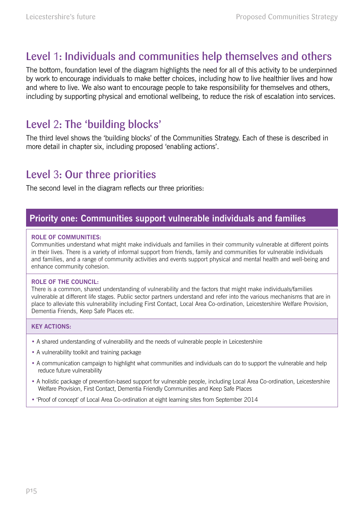## Level 1: Individuals and communities help themselves and others

The bottom, foundation level of the diagram highlights the need for all of this activity to be underpinned by work to encourage individuals to make better choices, including how to live healthier lives and how and where to live. We also want to encourage people to take responsibility for themselves and others, including by supporting physical and emotional wellbeing, to reduce the risk of escalation into services.

## Level 2: The 'building blocks'

The third level shows the 'building blocks' of the Communities Strategy. Each of these is described in more detail in chapter six, including proposed 'enabling actions'.

## Level 3: Our three priorities

The second level in the diagram reflects our three priorities:

### **Priority one: Communities support vulnerable individuals and families**

#### **Role of Communities:**

Communities understand what might make individuals and families in their community vulnerable at different points in their lives. There is a variety of informal support from friends, family and communities for vulnerable individuals and families, and a range of community activities and events support physical and mental health and well-being and enhance community cohesion.

#### **Role of THE COUNCIL:**

There is a common, shared understanding of vulnerability and the factors that might make individuals/families vulnerable at different life stages. Public sector partners understand and refer into the various mechanisms that are in place to alleviate this vulnerability including First Contact, Local Area Co-ordination, Leicestershire Welfare Provision, Dementia Friends, Keep Safe Places etc.

#### **Key Actions:**

- A shared understanding of vulnerability and the needs of vulnerable people in Leicestershire
- A vulnerability toolkit and training package
- A communication campaign to highlight what communities and individuals can do to support the vulnerable and help reduce future vulnerability
- A holistic package of prevention-based support for vulnerable people, including Local Area Co-ordination, Leicestershire Welfare Provision, First Contact, Dementia Friendly Communities and Keep Safe Places
- 'Proof of concept' of Local Area Co-ordination at eight learning sites from September 2014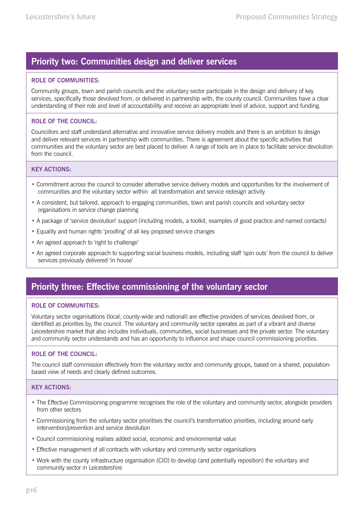## **Priority two: Communities design and deliver services**

#### **Role of Communities:**

Community groups, town and parish councils and the voluntary sector participate in the design and delivery of key services, specifically those devolved from, or delivered in partnership with, the county council. Communities have a clear understanding of their role and level of accountability and receive an appropriate level of advice, support and funding.

#### **Role of THE COUNCIL:**

Councillors and staff understand alternative and innovative service delivery models and there is an ambition to design and deliver relevant services in partnership with communities. There is agreement about the specific activities that communities and the voluntary sector are best placed to deliver. A range of tools are in place to facilitate service devolution from the council.

#### **Key Actions:**

- Commitment across the council to consider alternative service delivery models and opportunities for the involvement of communities and the voluntary sector within all transformation and service redesign activity
- A consistent, but tailored, approach to engaging communities, town and parish councils and voluntary sector organisations in service change planning
- A package of 'service devolution' support (including models, a toolkit, examples of good practice and named contacts)
- Equality and human rights 'proofing' of all key proposed service changes
- An agreed approach to 'right to challenge'
- An agreed corporate approach to supporting social business models, including staff 'spin outs' from the council to deliver services previously delivered 'in house'

## **Priority three: Effective commissioning of the voluntary sector**

#### **Role of Communities:**

Voluntary sector organisations (local, county-wide and national) are effective providers of services devolved from, or identified as priorities by, the council. The voluntary and community sector operates as part of a vibrant and diverse Leicestershire market that also includes individuals, communities, social businesses and the private sector. The voluntary and community sector understands and has an opportunity to influence and shape council commissioning priorities.

#### **Role of THE COUNCIL:**

The council staff commission effectively from the voluntary sector and community groups, based on a shared, populationbased view of needs and clearly defined outcomes.

#### **Key Actions:**

- The Effective Commissioning programme recognises the role of the voluntary and community sector, alongside providers from other sectors
- Commissioning from the voluntary sector prioritises the council's transformation priorities, including around early intervention/prevention and service devolution
- Council commissioning realises added social, economic and environmental value
- Effective management of all contracts with voluntary and community sector organisations
- Work with the county infrastructure organisation (CIO) to develop (and potentially reposition) the voluntary and community sector in Leicestershire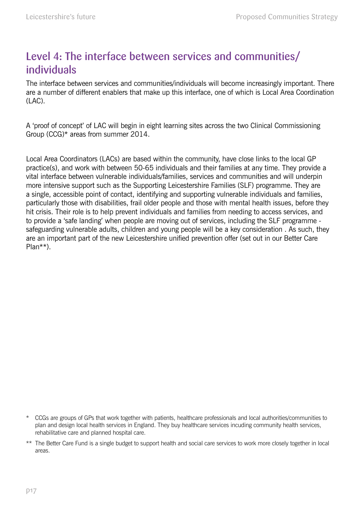## Level 4: The interface between services and communities/ individuals

The interface between services and communities/individuals will become increasingly important. There are a number of different enablers that make up this interface, one of which is Local Area Coordination (LAC).

A 'proof of concept' of LAC will begin in eight learning sites across the two Clinical Commissioning Group (CCG)\* areas from summer 2014.

Local Area Coordinators (LACs) are based within the community, have close links to the local GP practice(s), and work with between 50-65 individuals and their families at any time. They provide a vital interface between vulnerable individuals/families, services and communities and will underpin more intensive support such as the Supporting Leicestershire Families (SLF) programme. They are a single, accessible point of contact, identifying and supporting vulnerable individuals and families, particularly those with disabilities, frail older people and those with mental health issues, before they hit crisis. Their role is to help prevent individuals and families from needing to access services, and to provide a 'safe landing' when people are moving out of services, including the SLF programme safeguarding vulnerable adults, children and young people will be a key consideration . As such, they are an important part of the new Leicestershire unified prevention offer (set out in our Better Care Plan\*\*).

<sup>\*</sup> CCGs are groups of GPs that work together with patients, healthcare professionals and local authorities/communities to plan and design local health services in England. They buy healthcare services incuding community health services, rehabilitative care and planned hospital care.

<sup>\*\*</sup> The Better Care Fund is a single budget to support health and social care services to work more closely together in local areas.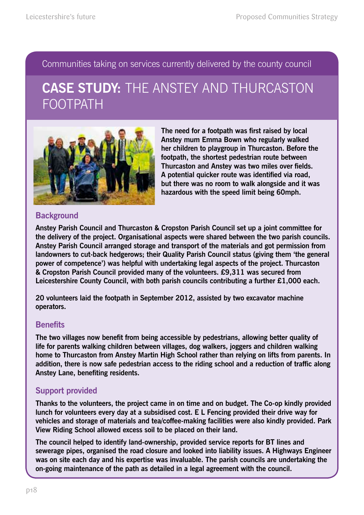Communities taking on services currently delivered by the county council

## **CASE STUDY:** THE ANSTEY AND THURCASTON FOOTPATH



**The need for a footpath was first raised by local Anstey mum Emma Bown who regularly walked her children to playgroup in Thurcaston. Before the footpath, the shortest pedestrian route between Thurcaston and Anstey was two miles over fields. A potential quicker route was identified via road, but there was no room to walk alongside and it was hazardous with the speed limit being 60mph.** 

### **Background**

**Anstey Parish Council and Thurcaston & Cropston Parish Council set up a joint committee for the delivery of the project. Organisational aspects were shared between the two parish councils. Anstey Parish Council arranged storage and transport of the materials and got permission from landowners to cut-back hedgerows; their Quality Parish Council status (giving them 'the general power of competence') was helpful with undertaking legal aspects of the project. Thurcaston & Cropston Parish Council provided many of the volunteers. £9,311 was secured from Leicestershire County Council, with both parish councils contributing a further £1,000 each.** 

**20 volunteers laid the footpath in September 2012, assisted by two excavator machine operators.** 

### **Benefits**

**The two villages now benefit from being accessible by pedestrians, allowing better quality of life for parents walking children between villages, dog walkers, joggers and children walking home to Thurcaston from Anstey Martin High School rather than relying on lifts from parents. In addition, there is now safe pedestrian access to the riding school and a reduction of traffic along Anstey Lane, benefiting residents.** 

## **Support provided**

**Thanks to the volunteers, the project came in on time and on budget. The Co-op kindly provided lunch for volunteers every day at a subsidised cost. E L Fencing provided their drive way for vehicles and storage of materials and tea/coffee-making facilities were also kindly provided. Park View Riding School allowed excess soil to be placed on their land.** 

**The council helped to identify land-ownership, provided service reports for BT lines and sewerage pipes, organised the road closure and looked into liability issues. A Highways Engineer was on site each day and his expertise was invaluable. The parish councils are undertaking the on-going maintenance of the path as detailed in a legal agreement with the council.**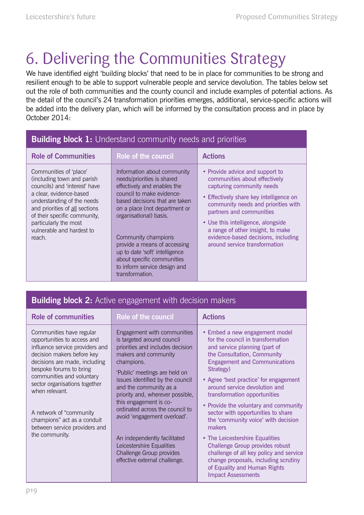# 6. Delivering the Communities Strategy

We have identified eight 'building blocks' that need to be in place for communities to be strong and resilient enough to be able to support vulnerable people and service devolution. The tables below set out the role of both communities and the county council and include examples of potential actions. As the detail of the council's 24 transformation priorities emerges, additional, service-specific actions will be added into the delivery plan, which will be informed by the consultation process and in place by October 2014:

| <b>Building block 1:</b> Understand community needs and priorities                                                                                                                                                                                                               |                                                                                                                                                                                                                                                                                                                                                                                              |                                                                                                                                                                                                                                                                                                                                                                |  |  |  |  |
|----------------------------------------------------------------------------------------------------------------------------------------------------------------------------------------------------------------------------------------------------------------------------------|----------------------------------------------------------------------------------------------------------------------------------------------------------------------------------------------------------------------------------------------------------------------------------------------------------------------------------------------------------------------------------------------|----------------------------------------------------------------------------------------------------------------------------------------------------------------------------------------------------------------------------------------------------------------------------------------------------------------------------------------------------------------|--|--|--|--|
| <b>Role of Communities</b>                                                                                                                                                                                                                                                       | <b>Role of the council</b>                                                                                                                                                                                                                                                                                                                                                                   | <b>Actions</b>                                                                                                                                                                                                                                                                                                                                                 |  |  |  |  |
| Communities of 'place'<br>(including town and parish<br>councils) and 'interest' have<br>a clear, evidence-based<br>understanding of the needs<br>and priorities of all sections<br>of their specific community,<br>particularly the most<br>vulnerable and hardest to<br>reach. | Information about community<br>needs/priorities is shared<br>effectively and enables the<br>council to make evidence-<br>based decisions that are taken<br>on a place (not department or<br>organisational) basis.<br>Community champions<br>provide a means of accessing<br>up to date 'soft' intelligence<br>about specific communities<br>to inform service design and<br>transformation. | • Provide advice and support to<br>communities about effectively<br>capturing community needs<br>• Effectively share key intelligence on<br>community needs and priorities with<br>partners and communities<br>• Use this intelligence, alongside<br>a range of other insight, to make<br>evidence-based decisions, including<br>around service transformation |  |  |  |  |

|  | <b>Building block 2:</b> Active engagement with decision makers |  |
|--|-----------------------------------------------------------------|--|
|--|-----------------------------------------------------------------|--|

| <b>Role of communities</b>                                                                                                                                                                                                                                                                                                                                                         | <b>Role of the council</b>                                                                                                                                                                                                                                                                                                                                                                                                                                   | <b>Actions</b>                                                                                                                                                                                                                                                                                                                                                                                                                                                                                                                                              |
|------------------------------------------------------------------------------------------------------------------------------------------------------------------------------------------------------------------------------------------------------------------------------------------------------------------------------------------------------------------------------------|--------------------------------------------------------------------------------------------------------------------------------------------------------------------------------------------------------------------------------------------------------------------------------------------------------------------------------------------------------------------------------------------------------------------------------------------------------------|-------------------------------------------------------------------------------------------------------------------------------------------------------------------------------------------------------------------------------------------------------------------------------------------------------------------------------------------------------------------------------------------------------------------------------------------------------------------------------------------------------------------------------------------------------------|
| Communities have regular<br>opportunities to access and<br>influence service providers and<br>decision makers before key<br>decisions are made, including<br>bespoke forums to bring<br>communities and voluntary<br>sector organisations together<br>when relevant.<br>A network of "community"<br>champions" act as a conduit<br>between service providers and<br>the community. | Engagement with communities<br>is targeted around council<br>priorities and includes decision<br>makers and community<br>champions.<br>'Public' meetings are held on<br>issues identified by the council<br>and the community as a<br>priority and, wherever possible,<br>this engagement is co-<br>ordinated across the council to<br>avoid 'engagement overload'.<br>An independently facilitated<br>Leicestershire Equalities<br>Challenge Group provides | • Embed a new engagement model<br>for the council in transformation<br>and service planning (part of<br>the Consultation, Community<br><b>Engagement and Communications</b><br>Strategy)<br>• Agree 'best practice' for engagement<br>around service devolution and<br>transformation opportunities<br>• Provide the voluntary and community<br>sector with opportunities to share<br>the 'community voice' with decision<br>makers<br>• The Leicestershire Equalities<br><b>Challenge Group provides robust</b><br>challenge of all key policy and service |
|                                                                                                                                                                                                                                                                                                                                                                                    | effective external challenge.                                                                                                                                                                                                                                                                                                                                                                                                                                | change proposals, including scrutiny<br>of Equality and Human Rights<br><b>Impact Assessments</b>                                                                                                                                                                                                                                                                                                                                                                                                                                                           |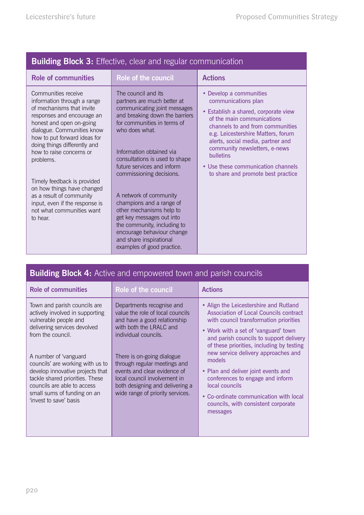| <b>Dullullig Diuck 3:</b> Lilective, clear and regular communication                                                                                                                                                                                                                                                                                                                                                                                 |                                                                                                                                                                                                                                                                                                                                                                                                                                                                                                                                    |                                                                                                                                                                                                                                                                                                                                                                         |  |  |  |  |
|------------------------------------------------------------------------------------------------------------------------------------------------------------------------------------------------------------------------------------------------------------------------------------------------------------------------------------------------------------------------------------------------------------------------------------------------------|------------------------------------------------------------------------------------------------------------------------------------------------------------------------------------------------------------------------------------------------------------------------------------------------------------------------------------------------------------------------------------------------------------------------------------------------------------------------------------------------------------------------------------|-------------------------------------------------------------------------------------------------------------------------------------------------------------------------------------------------------------------------------------------------------------------------------------------------------------------------------------------------------------------------|--|--|--|--|
| <b>Role of communities</b>                                                                                                                                                                                                                                                                                                                                                                                                                           | Role of the council                                                                                                                                                                                                                                                                                                                                                                                                                                                                                                                | <b>Actions</b>                                                                                                                                                                                                                                                                                                                                                          |  |  |  |  |
| Communities receive<br>information through a range<br>of mechanisms that invite<br>responses and encourage an<br>honest and open on-going<br>dialogue. Communities know<br>how to put forward ideas for<br>doing things differently and<br>how to raise concerns or<br>problems.<br>Timely feedback is provided<br>on how things have changed<br>as a result of community<br>input, even if the response is<br>not what communities want<br>to hear. | The council and its<br>partners are much better at<br>communicating joint messages<br>and breaking down the barriers<br>for communities in terms of<br>who does what.<br>Information obtained via<br>consultations is used to shape<br>future services and inform<br>commissioning decisions.<br>A network of community<br>champions and a range of<br>other mechanisms help to<br>get key messages out into<br>the community, including to<br>encourage behaviour change<br>and share inspirational<br>examples of good practice. | Develop a communities<br>٠<br>communications plan<br>• Establish a shared, corporate view<br>of the main communications<br>channels to and from communities<br>e.g. Leicestershire Matters, forum<br>alerts, social media, partner and<br>community newsletters, e-news<br><b>bulletins</b><br>• Use these communication channels<br>to share and promote best practice |  |  |  |  |

| <b>Building Block 4:</b> Active and empowered town and parish councils |  |  |  |  |  |
|------------------------------------------------------------------------|--|--|--|--|--|
|                                                                        |  |  |  |  |  |

| <b>Role of communities</b>                                                                                                                                                                                                                                                                                                                                                | Role of the council                                                                                                                                                                                                                                                                                                                                   | <b>Actions</b>                                                                                                                                                                                                                                                                                                                                                                                                                                                                                        |
|---------------------------------------------------------------------------------------------------------------------------------------------------------------------------------------------------------------------------------------------------------------------------------------------------------------------------------------------------------------------------|-------------------------------------------------------------------------------------------------------------------------------------------------------------------------------------------------------------------------------------------------------------------------------------------------------------------------------------------------------|-------------------------------------------------------------------------------------------------------------------------------------------------------------------------------------------------------------------------------------------------------------------------------------------------------------------------------------------------------------------------------------------------------------------------------------------------------------------------------------------------------|
| Town and parish councils are<br>actively involved in supporting<br>vulnerable people and<br>delivering services devolved<br>from the council.<br>A number of 'vanguard<br>councils' are working with us to<br>develop innovative projects that<br>tackle shared priorities. These<br>councils are able to access<br>small sums of funding on an<br>'invest to save' basis | Departments recognise and<br>value the role of local councils<br>and have a good relationship<br>with both the LRALC and<br>individual councils.<br>There is on-going dialogue<br>through regular meetings and<br>events and clear evidence of<br>local council involvement in<br>both designing and delivering a<br>wide range of priority services. | • Align the Leicestershire and Rutland<br>Association of Local Councils contract<br>with council transformation priorities<br>• Work with a set of 'vanguard' town<br>and parish councils to support delivery<br>of these priorities, including by testing<br>new service delivery approaches and<br>models<br>• Plan and deliver joint events and<br>conferences to engage and inform<br>local councils<br>• Co-ordinate communication with local<br>councils, with consistent corporate<br>messages |

### **Building Block 3:** Effective, clear and regular communication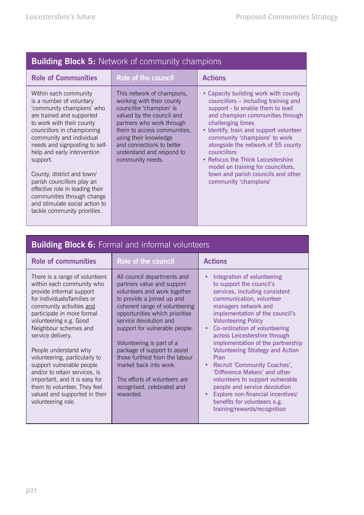|  |  | <b>Building Block 5: Network of community champions</b> |
|--|--|---------------------------------------------------------|
|  |  |                                                         |

| <b>Role of Communities</b>                                                                                                                                                                                                                                                                                                                                                                                                                                                     | Role of the council                                                                                                                                                                                                                                                                 | <b>Actions</b>                                                                                                                                                                                                                                                                                                                                                                                                                                        |
|--------------------------------------------------------------------------------------------------------------------------------------------------------------------------------------------------------------------------------------------------------------------------------------------------------------------------------------------------------------------------------------------------------------------------------------------------------------------------------|-------------------------------------------------------------------------------------------------------------------------------------------------------------------------------------------------------------------------------------------------------------------------------------|-------------------------------------------------------------------------------------------------------------------------------------------------------------------------------------------------------------------------------------------------------------------------------------------------------------------------------------------------------------------------------------------------------------------------------------------------------|
| Within each community<br>is a number of voluntary<br>'community champions' who<br>are trained and supported<br>to work with their county<br>councillors in championing<br>community and individual<br>needs and signposting to self-<br>help and early intervention<br>support.<br>County, district and town/<br>parish councillors play an<br>effective role in leading their<br>communities through change<br>and stimulate social action to<br>tackle community priorities. | This network of champions,<br>working with their county<br>councillor 'champion' is<br>valued by the council and<br>partners who work through<br>them to access communities,<br>using their knowledge<br>and connections to better<br>understand and respond to<br>community needs. | • Capacity building work with county<br>councillors – including training and<br>support - to enable them to lead<br>and champion communities through<br>challenging times<br>• Identify, train and support volunteer<br>community 'champions' to work<br>alongside the network of 55 county<br>councillors<br>• Refocus the Think Leicestershire<br>model on training for councillors,<br>town and parish councils and other<br>community 'champions' |

| <b>Building Block 6:</b> Formal and informal volunteers                                                                                                                                                                                                                                                                                                                                                                                                                                                  |                                                                                                                                                                                                                                                                                                                                                                                                                                                              |                                                                                                                                                                                                                                                                                                                                                                                                                                                                                                                                                                                                                                                    |  |  |  |  |
|----------------------------------------------------------------------------------------------------------------------------------------------------------------------------------------------------------------------------------------------------------------------------------------------------------------------------------------------------------------------------------------------------------------------------------------------------------------------------------------------------------|--------------------------------------------------------------------------------------------------------------------------------------------------------------------------------------------------------------------------------------------------------------------------------------------------------------------------------------------------------------------------------------------------------------------------------------------------------------|----------------------------------------------------------------------------------------------------------------------------------------------------------------------------------------------------------------------------------------------------------------------------------------------------------------------------------------------------------------------------------------------------------------------------------------------------------------------------------------------------------------------------------------------------------------------------------------------------------------------------------------------------|--|--|--|--|
| <b>Role of communities</b>                                                                                                                                                                                                                                                                                                                                                                                                                                                                               | Role of the council                                                                                                                                                                                                                                                                                                                                                                                                                                          | <b>Actions</b>                                                                                                                                                                                                                                                                                                                                                                                                                                                                                                                                                                                                                                     |  |  |  |  |
| There is a range of volunteers<br>within each community who<br>provide informal support<br>for individuals/families or<br>community activities and<br>participate in more formal<br>volunteering e.g. Good<br>Neighbour schemes and<br>service delivery.<br>People understand why<br>volunteering, particularly to<br>support vulnerable people<br>and/or to retain services, is<br>important, and it is easy for<br>them to volunteer. They feel<br>valued and supported in their<br>volunteering role. | All council departments and<br>partners value and support<br>volunteers and work together<br>to provide a joined up and<br>coherent range of volunteering<br>opportunities which prioritise<br>service devolution and<br>support for vulnerable people.<br>Volunteering is part of a<br>package of support to assist<br>those furthest from the labour<br>market back into work.<br>The efforts of volunteers are<br>recognised, celebrated and<br>rewarded. | Integration of volunteering<br>٠<br>to support the council's<br>services, including consistent<br>communication, volunteer<br>managers network and<br>implementation of the council's<br><b>Volunteering Policy</b><br>Co-ordination of volunteering<br>$\bullet$<br>across Leicestershire through<br>implementation of the partnership<br><b>Volunteering Strategy and Action</b><br>Plan<br>Recruit 'Community Coaches',<br>'Difference Makers' and other<br>volunteers to support vulnerable<br>people and service devolution<br>Explore non-financial incentives/<br>$\bullet$<br>benefits for volunteers e.g.<br>training/rewards/recognition |  |  |  |  |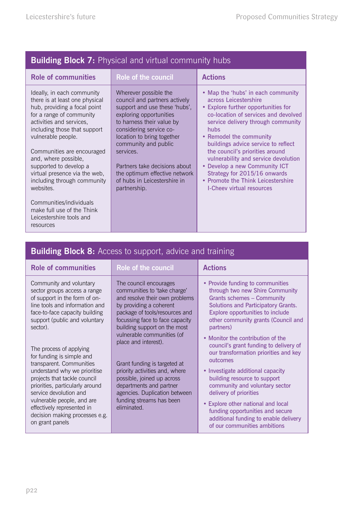| <b>Role of the council</b>                                                                                                                                                                                                                                                                                                                                      | <b>Actions</b>                                                                                                                                                                                                                                                                                                                                                                                                                                                                   |
|-----------------------------------------------------------------------------------------------------------------------------------------------------------------------------------------------------------------------------------------------------------------------------------------------------------------------------------------------------------------|----------------------------------------------------------------------------------------------------------------------------------------------------------------------------------------------------------------------------------------------------------------------------------------------------------------------------------------------------------------------------------------------------------------------------------------------------------------------------------|
|                                                                                                                                                                                                                                                                                                                                                                 |                                                                                                                                                                                                                                                                                                                                                                                                                                                                                  |
| Wherever possible the<br>council and partners actively<br>support and use these 'hubs',<br>exploring opportunities<br>to harness their value by<br>considering service co-<br>location to bring together<br>community and public<br>services.<br>Partners take decisions about<br>the optimum effective network<br>of hubs in Leicestershire in<br>partnership. | • Map the 'hubs' in each community<br>across Leicestershire<br>• Explore further opportunities for<br>co-location of services and devolved<br>service delivery through community<br>hubs<br>• Remodel the community<br>buildings advice service to reflect<br>the council's priorities around<br>vulnerability and service devolution<br>• Develop a new Community ICT<br>Strategy for 2015/16 onwards<br>• Promote the Think Leicestershire<br><b>I-Cheev virtual resources</b> |
|                                                                                                                                                                                                                                                                                                                                                                 |                                                                                                                                                                                                                                                                                                                                                                                                                                                                                  |

## **Building Block 8:** Access to support, advice and training

| <b>Role of communities</b>                                                                                                                                                                                                                                                                                                                                                                                                                                                                                                                  | <b>Role of the council</b>                                                                                                                                                                                                                                                                                                                                                                                                                                                            | <b>Actions</b>                                                                                                                                                                                                                                                                                                                                                                                                                                                                                                                                                                                                                                                  |
|---------------------------------------------------------------------------------------------------------------------------------------------------------------------------------------------------------------------------------------------------------------------------------------------------------------------------------------------------------------------------------------------------------------------------------------------------------------------------------------------------------------------------------------------|---------------------------------------------------------------------------------------------------------------------------------------------------------------------------------------------------------------------------------------------------------------------------------------------------------------------------------------------------------------------------------------------------------------------------------------------------------------------------------------|-----------------------------------------------------------------------------------------------------------------------------------------------------------------------------------------------------------------------------------------------------------------------------------------------------------------------------------------------------------------------------------------------------------------------------------------------------------------------------------------------------------------------------------------------------------------------------------------------------------------------------------------------------------------|
| Community and voluntary<br>sector groups access a range<br>of support in the form of on-<br>line tools and information and<br>face-to-face capacity building<br>support (public and voluntary<br>sector).<br>The process of applying<br>for funding is simple and<br>transparent. Communities<br>understand why we prioritise<br>projects that tackle council<br>priorities, particularly around<br>service devolution and<br>vulnerable people, and are<br>effectively represented in<br>decision making processes e.g.<br>on grant panels | The council encourages<br>communities to 'take charge'<br>and resolve their own problems<br>by providing a coherent<br>package of tools/resources and<br>focussing face to face capacity<br>building support on the most<br>vulnerable communities (of<br>place and interest).<br>Grant funding is targeted at<br>priority activities and, where<br>possible, joined up across<br>departments and partner<br>agencies. Duplication between<br>funding streams has been<br>eliminated. | • Provide funding to communities<br>through two new Shire Community<br><b>Grants schemes - Community</b><br>Solutions and Participatory Grants.<br>Explore opportunities to include<br>other community grants (Council and<br>partners)<br>• Monitor the contribution of the<br>council's grant funding to delivery of<br>our transformation priorities and key<br>outcomes<br>• Investigate additional capacity<br>building resource to support<br>community and voluntary sector<br>delivery of priorities<br>• Explore other national and local<br>funding opportunities and secure<br>additional funding to enable delivery<br>of our communities ambitions |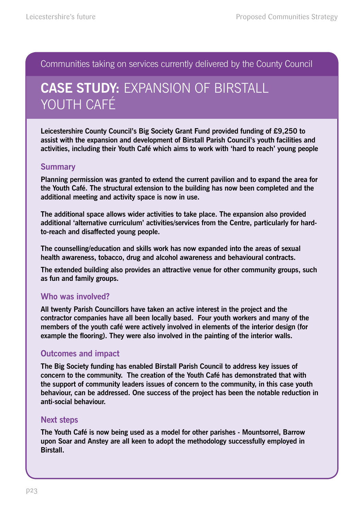Communities taking on services currently delivered by the County Council

## **CASE STUDY:** Expansion of Birstall YOUTH CAFÉ

**Leicestershire County Council's Big Society Grant Fund provided funding of £9,250 to assist with the expansion and development of Birstall Parish Council's youth facilities and activities, including their Youth Café which aims to work with 'hard to reach' young people**

#### **Summary**

**Planning permission was granted to extend the current pavilion and to expand the area for the Youth Café. The structural extension to the building has now been completed and the additional meeting and activity space is now in use.**

**The additional space allows wider activities to take place. The expansion also provided additional 'alternative curriculum' activities/services from the Centre, particularly for hardto-reach and disaffected young people.**

**The counselling/education and skills work has now expanded into the areas of sexual health awareness, tobacco, drug and alcohol awareness and behavioural contracts.** 

**The extended building also provides an attractive venue for other community groups, such as fun and family groups.** 

### **Who was involved?**

**All twenty Parish Councillors have taken an active interest in the project and the contractor companies have all been locally based. Four youth workers and many of the members of the youth café were actively involved in elements of the interior design (for example the flooring). They were also involved in the painting of the interior walls.** 

### **Outcomes and impact**

**The Big Society funding has enabled Birstall Parish Council to address key issues of concern to the community. The creation of the Youth Café has demonstrated that with the support of community leaders issues of concern to the community, in this case youth behaviour, can be addressed. One success of the project has been the notable reduction in anti-social behaviour.** 

#### **Next steps**

**The Youth Café is now being used as a model for other parishes - Mountsorrel, Barrow upon Soar and Anstey are all keen to adopt the methodology successfully employed in Birstall.**